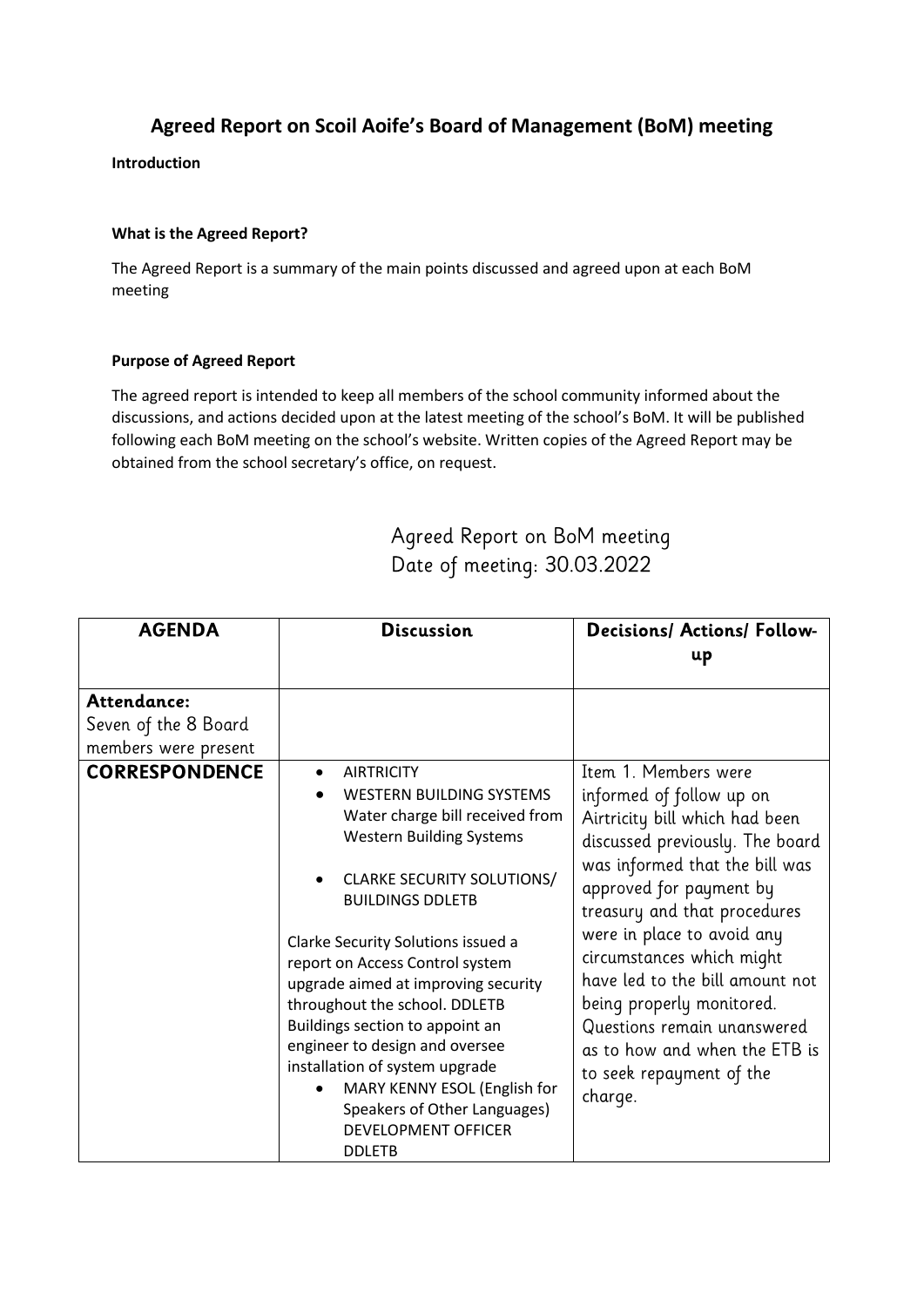## **Agreed Report on Scoil Aoife's Board of Management (BoM) meeting**

**Introduction**

## **What is the Agreed Report?**

The Agreed Report is a summary of the main points discussed and agreed upon at each BoM meeting

## **Purpose of Agreed Report**

The agreed report is intended to keep all members of the school community informed about the discussions, and actions decided upon at the latest meeting of the school's BoM. It will be published following each BoM meeting on the school's website. Written copies of the Agreed Report may be obtained from the school secretary's office, on request.

## Agreed Report on BoM meeting Date of meeting: 30.03.2022

| <b>AGENDA</b>                                               | <b>Discussion</b>                                                                                                                                                                                                                                                                                                                                                                                                                                                                                                                                                 | <b>Decisions/ Actions/ Follow-</b><br>up                                                                                                                                                                                                                                                                                                                                                                                                             |
|-------------------------------------------------------------|-------------------------------------------------------------------------------------------------------------------------------------------------------------------------------------------------------------------------------------------------------------------------------------------------------------------------------------------------------------------------------------------------------------------------------------------------------------------------------------------------------------------------------------------------------------------|------------------------------------------------------------------------------------------------------------------------------------------------------------------------------------------------------------------------------------------------------------------------------------------------------------------------------------------------------------------------------------------------------------------------------------------------------|
| Attendance:<br>Seven of the 8 Board<br>members were present |                                                                                                                                                                                                                                                                                                                                                                                                                                                                                                                                                                   |                                                                                                                                                                                                                                                                                                                                                                                                                                                      |
| <b>CORRESPONDENCE</b>                                       | <b>AIRTRICITY</b><br><b>WESTERN BUILDING SYSTEMS</b><br>Water charge bill received from<br><b>Western Building Systems</b><br><b>CLARKE SECURITY SOLUTIONS/</b><br><b>BUILDINGS DDLETB</b><br>Clarke Security Solutions issued a<br>report on Access Control system<br>upgrade aimed at improving security<br>throughout the school. DDLETB<br>Buildings section to appoint an<br>engineer to design and oversee<br>installation of system upgrade<br>MARY KENNY ESOL (English for<br>Speakers of Other Languages)<br><b>DEVELOPMENT OFFICER</b><br><b>DDLETB</b> | Item 1. Members were<br>informed of follow up on<br>Airtricity bill which had been<br>discussed previously. The board<br>was informed that the bill was<br>approved for payment by<br>treasury and that procedures<br>were in place to avoid any<br>circumstances which might<br>have led to the bill amount not<br>being properly monitored.<br>Questions remain unanswered<br>as to how and when the ETB is<br>to seek repayment of the<br>charge. |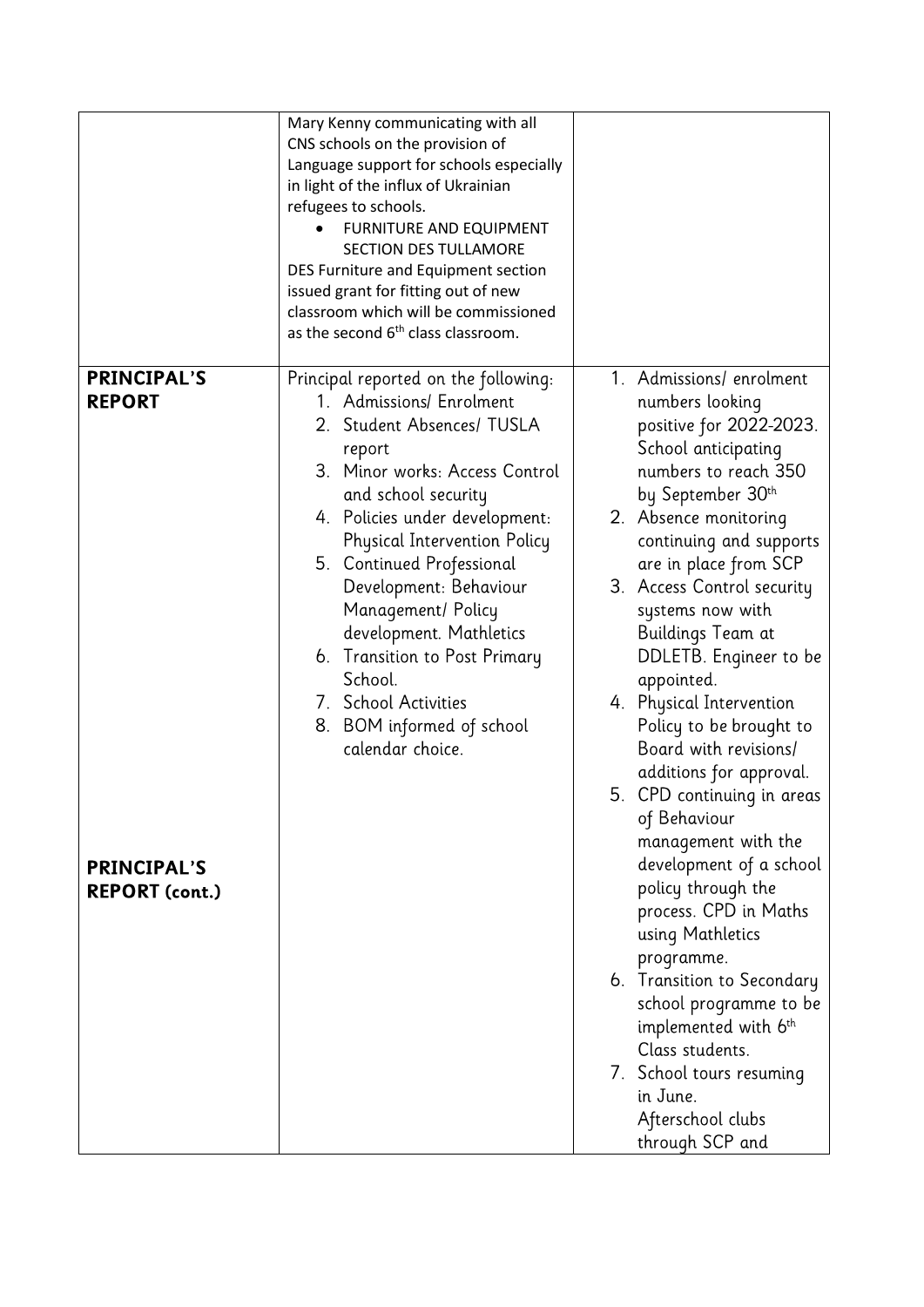|                                                                                    | Mary Kenny communicating with all<br>CNS schools on the provision of<br>Language support for schools especially<br>in light of the influx of Ukrainian<br>refugees to schools.<br>FURNITURE AND EQUIPMENT<br><b>SECTION DES TULLAMORE</b><br>DES Furniture and Equipment section<br>issued grant for fitting out of new<br>classroom which will be commissioned<br>as the second 6 <sup>th</sup> class classroom.                                                       |                                                                                                                                                                                                                                                                                                                                                                                                                                                                                                                                                                                                                                                                                                                                                                                                                      |
|------------------------------------------------------------------------------------|-------------------------------------------------------------------------------------------------------------------------------------------------------------------------------------------------------------------------------------------------------------------------------------------------------------------------------------------------------------------------------------------------------------------------------------------------------------------------|----------------------------------------------------------------------------------------------------------------------------------------------------------------------------------------------------------------------------------------------------------------------------------------------------------------------------------------------------------------------------------------------------------------------------------------------------------------------------------------------------------------------------------------------------------------------------------------------------------------------------------------------------------------------------------------------------------------------------------------------------------------------------------------------------------------------|
| <b>PRINCIPAL'S</b><br><b>REPORT</b><br><b>PRINCIPAL'S</b><br><b>REPORT (cont.)</b> | Principal reported on the following:<br>1. Admissions/ Enrolment<br>2. Student Absences/ TUSLA<br>report<br>3. Minor works: Access Control<br>and school security<br>4. Policies under development:<br><b>Physical Intervention Policy</b><br>5. Continued Professional<br>Development: Behaviour<br>Management/ Policy<br>development. Mathletics<br>6. Transition to Post Primary<br>School.<br>7. School Activities<br>8. BOM informed of school<br>calendar choice. | 1. Admissions/enrolment<br>numbers looking<br>positive for 2022-2023.<br>School anticipating<br>numbers to reach 350<br>by September 30th<br>2. Absence monitoring<br>continuing and supports<br>are in place from SCP<br>3. Access Control security<br>systems now with<br>Buildings Team at<br>DDLETB. Engineer to be<br>appointed.<br>4. Physical Intervention<br>Policy to be brought to<br>Board with revisions/<br>additions for approval.<br>5. CPD continuing in areas<br>of Behaviour<br>management with the<br>development of a school<br>policy through the<br>process. CPD in Maths<br>using Mathletics<br>programme.<br>6. Transition to Secondary<br>school programme to be<br>implemented with 6th<br>Class students.<br>7. School tours resuming<br>in June.<br>Afterschool clubs<br>through SCP and |